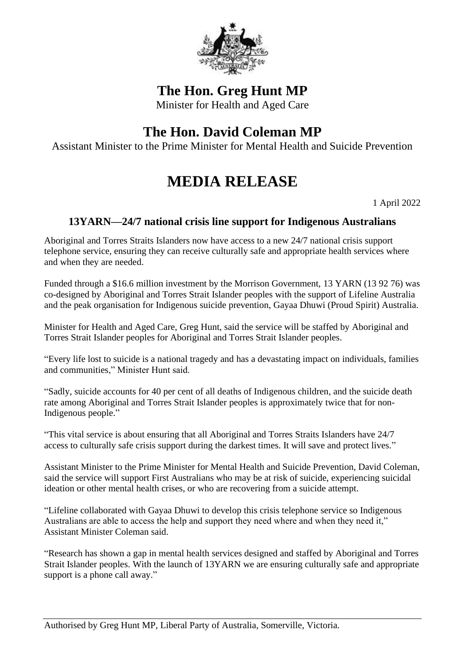

## **The Hon. Greg Hunt MP**

Minister for Health and Aged Care

## **The Hon. David Coleman MP**

Assistant Minister to the Prime Minister for Mental Health and Suicide Prevention

## **MEDIA RELEASE**

1 April 2022

## **13YARN—24/7 national crisis line support for Indigenous Australians**

Aboriginal and Torres Straits Islanders now have access to a new 24/7 national crisis support telephone service, ensuring they can receive culturally safe and appropriate health services where and when they are needed.

Funded through a \$16.6 million investment by the Morrison Government, 13 YARN (13 92 76) was co-designed by Aboriginal and Torres Strait Islander peoples with the support of Lifeline Australia and the peak organisation for Indigenous suicide prevention, Gayaa Dhuwi (Proud Spirit) Australia.

Minister for Health and Aged Care, Greg Hunt, said the service will be staffed by Aboriginal and Torres Strait Islander peoples for Aboriginal and Torres Strait Islander peoples.

"Every life lost to suicide is a national tragedy and has a devastating impact on individuals, families and communities," Minister Hunt said.

"Sadly, suicide accounts for 40 per cent of all deaths of Indigenous children, and the suicide death rate among Aboriginal and Torres Strait Islander peoples is approximately twice that for non-Indigenous people."

"This vital service is about ensuring that all Aboriginal and Torres Straits Islanders have 24/7 access to culturally safe crisis support during the darkest times. It will save and protect lives."

Assistant Minister to the Prime Minister for Mental Health and Suicide Prevention, David Coleman, said the service will support First Australians who may be at risk of suicide, experiencing suicidal ideation or other mental health crises, or who are recovering from a suicide attempt.

"Lifeline collaborated with Gayaa Dhuwi to develop this crisis telephone service so Indigenous Australians are able to access the help and support they need where and when they need it," Assistant Minister Coleman said.

"Research has shown a gap in mental health services designed and staffed by Aboriginal and Torres Strait Islander peoples. With the launch of 13YARN we are ensuring culturally safe and appropriate support is a phone call away."